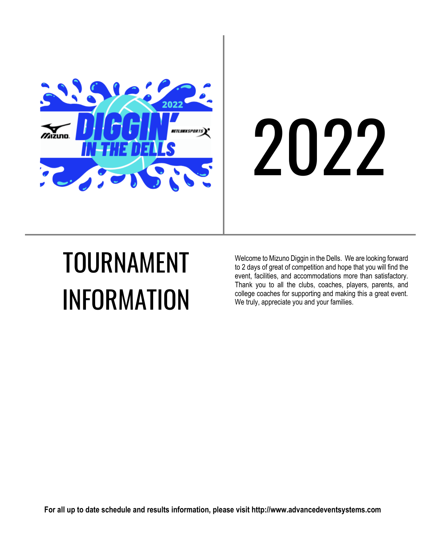

# 2022

# TOURNAMENT INFORMATION

Welcome to Mizuno Diggin in the Dells. We are looking forward to 2 days of great of competition and hope that you will find the event, facilities, and accommodations more than satisfactory. Thank you to all the clubs, coaches, players, parents, and college coaches for supporting and making this a great event. We truly, appreciate you and your families.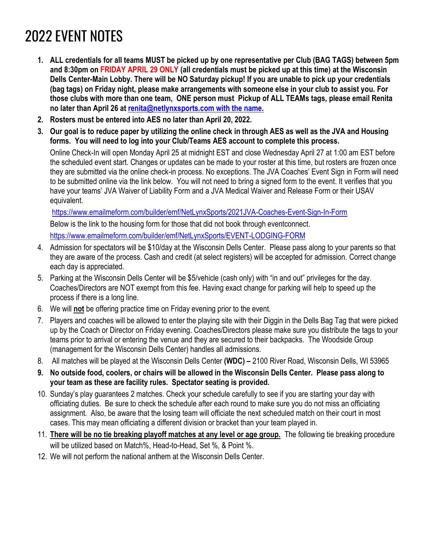## 2022 EVENT NOTES

- **1. ALL credentials for all teams MUST be picked up by one representative per Club (BAG TAGS) between 5pm and 8:30pm on FRIDAY APRIL 29 ONLY (all credentials must be picked up at this time) at the Wisconsin Dells Center-Main Lobby. There will be NO Saturday pickup! If you are unable to pick up your credentials (bag tags) on Friday night, please make arrangements with someone else in your club to assist you. For those clubs with more than one team, ONE person must Pickup of ALL TEAMs tags, please email Renita no later than April 26 at [renita@netlynxsports.com](mailto:renita@netlynxsports.com) with the name.**
- **2. Rosters must be entered into AES no later than April 20, 2022.**
- **3. Our goal is to reduce paper by utilizing the online check in through AES as well as the JVA and Housing forms. You will need to log into your Club/Teams AES account to complete this process.**

Online Check-In will open Monday April 25 at midnight EST and close Wednesday April 27 at 1:00 am EST before the scheduled event start. Changes or updates can be made to your roster at this time, but rosters are frozen once they are submitted via the online check-in process. No exceptions. The JVA Coaches' Event Sign in Form will need to be submitted online via the link below. You will not need to bring a signed form to the event. It verifies that you have your teams' JVA Waiver of Liability Form and a JVA Medical Waiver and Release Form or their USAV equivalent.

<https://www.emailmeform.com/builder/emf/NetLynxSports/2021JVA-Coaches-Event-Sign-In-Form> Below is the link to the housing form for those that did not book through eventconnect. <https://www.emailmeform.com/builder/emf/NetLynxSports/EVENT-LODGING-FORM>

- 4. Admission for spectators will be \$10/day at the Wisconsin Dells Center. Please pass along to your parents so that they are aware of the process. Cash and credit (at select registers) will be accepted for admission. Correct change each day is appreciated.
- 5. Parking at the Wisconsin Dells Center will be \$5/vehicle (cash only) with "in and out" privileges for the day. Coaches/Directors are NOT exempt from this fee. Having exact change for parking will help to speed up the process if there is a long line.
- 6. We will **not** be offering practice time on Friday evening prior to the event.
- 7. Players and coaches will be allowed to enter the playing site with their Diggin in the Dells Bag Tag that were picked up by the Coach or Director on Friday evening. Coaches/Directors please make sure you distribute the tags to your teams prior to arrival or entering the venue and they are secured to their backpacks. The Woodside Group (management for the Wisconsin Dells Center) handles all admissions.
- 8. All matches will be played at the Wisconsin Dells Center **(WDC) –** 2100 River Road, Wisconsin Dells, WI 53965
- **9. No outside food, coolers, or chairs will be allowed in the Wisconsin Dells Center. Please pass along to your team as these are facility rules. Spectator seating is provided.**
- 10. Sunday's play guarantees 2 matches. Check your schedule carefully to see if you are starting your day with officiating duties. Be sure to check the schedule after each round to make sure you do not miss an officiating assignment. Also, be aware that the losing team will officiate the next scheduled match on their court in most cases. This may mean officiating a different division or bracket than your team played in.
- 11. **There will be no tie breaking playoff matches at any level or age group.** The following tie breaking procedure will be utilized based on Match%, Head-to-Head, Set %, & Point %.
- 12. We will not perform the national anthem at the Wisconsin Dells Center.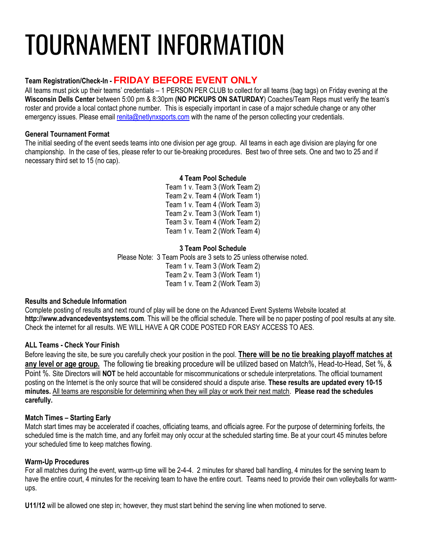# TOURNAMENT INFORMATION

#### **Team Registration/Check-In - FRIDAY BEFORE EVENT ONLY**

All teams must pick up their teams' credentials – 1 PERSON PER CLUB to collect for all teams (bag tags) on Friday evening at the **Wisconsin Dells Center** between 5:00 pm & 8:30pm **(NO PICKUPS ON SATURDAY**) Coaches/Team Reps must verify the team's roster and provide a local contact phone number. This is especially important in case of a major schedule change or any other emergency issues. Please email [renita@netlynxsports.com](mailto:renita@netlynxsports.com) with the name of the person collecting your credentials.

#### **General Tournament Format**

The initial seeding of the event seeds teams into one division per age group. All teams in each age division are playing for one championship. In the case of ties, please refer to our tie-breaking procedures. Best two of three sets. One and two to 25 and if necessary third set to 15 (no cap).

#### **4 Team Pool Schedule**

Team 1 v. Team 3 (Work Team 2) Team 2 v. Team 4 (Work Team 1) Team 1 v. Team 4 (Work Team 3) Team 2 v. Team 3 (Work Team 1) Team 3 v. Team 4 (Work Team 2) Team 1 v. Team 2 (Work Team 4)

#### **3 Team Pool Schedule**

Please Note: 3 Team Pools are 3 sets to 25 unless otherwise noted. Team 1 v. Team 3 (Work Team 2) Team 2 v. Team 3 (Work Team 1) Team 1 v. Team 2 (Work Team 3)

#### **Results and Schedule Information**

Complete posting of results and next round of play will be done on the Advanced Event Systems Website located at **http://www.advancedeventsystems.com**. This will be the official schedule. There will be no paper posting of pool results at any site. Check the internet for all results. WE WILL HAVE A QR CODE POSTED FOR EASY ACCESS TO AES.

#### **ALL Teams - Check Your Finish**

Before leaving the site, be sure you carefully check your position in the pool. **There will be no tie breaking playoff matches at any level or age group.** The following tie breaking procedure will be utilized based on Match%, Head-to-Head, Set %, & Point %. Site Directors will **NOT** be held accountable for miscommunications or schedule interpretations. The official tournament posting on the Internet is the only source that will be considered should a dispute arise. **These results are updated every 10-15 minutes.** All teams are responsible for determining when they will play or work their next match. **Please read the schedules carefully.**

#### **Match Times – Starting Early**

Match start times may be accelerated if coaches, officiating teams, and officials agree. For the purpose of determining forfeits, the scheduled time is the match time, and any forfeit may only occur at the scheduled starting time. Be at your court 45 minutes before your scheduled time to keep matches flowing.

#### **Warm-Up Procedures**

For all matches during the event, warm-up time will be 2-4-4. 2 minutes for shared ball handling, 4 minutes for the serving team to have the entire court, 4 minutes for the receiving team to have the entire court. Teams need to provide their own volleyballs for warmups.

**U11/12** will be allowed one step in; however, they must start behind the serving line when motioned to serve.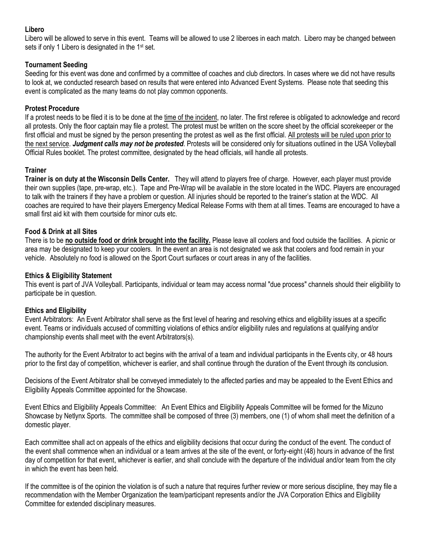#### **Libero**

Libero will be allowed to serve in this event. Teams will be allowed to use 2 liberoes in each match. Libero may be changed between sets if only 1 Libero is designated in the 1<sup>st</sup> set.

#### **Tournament Seeding**

Seeding for this event was done and confirmed by a committee of coaches and club directors. In cases where we did not have results to look at, we conducted research based on results that were entered into Advanced Event Systems. Please note that seeding this event is complicated as the many teams do not play common opponents.

#### **Protest Procedure**

If a protest needs to be filed it is to be done at the time of the incident, no later. The first referee is obligated to acknowledge and record all protests. Only the floor captain may file a protest. The protest must be written on the score sheet by the official scorekeeper or the first official and must be signed by the person presenting the protest as well as the first official. All protests will be ruled upon prior to the next service. *Judgment calls may not be protested*. Protests will be considered only for situations outlined in the USA Volleyball Official Rules booklet. The protest committee, designated by the head officials, will handle all protests.

#### **Trainer**

**Trainer is on duty at the Wisconsin Dells Center.** They will attend to players free of charge. However, each player must provide their own supplies (tape, pre-wrap, etc.). Tape and Pre-Wrap will be available in the store located in the WDC. Players are encouraged to talk with the trainers if they have a problem or question. All injuries should be reported to the trainer's station at the WDC. All coaches are required to have their players Emergency Medical Release Forms with them at all times. Teams are encouraged to have a small first aid kit with them courtside for minor cuts etc.

#### **Food & Drink at all Sites**

There is to be **no outside food or drink brought into the facility.** Please leave all coolers and food outside the facilities. A picnic or area may be designated to keep your coolers. In the event an area is not designated we ask that coolers and food remain in your vehicle. Absolutely no food is allowed on the Sport Court surfaces or court areas in any of the facilities.

#### **Ethics & Eligibility Statement**

This event is part of JVA Volleyball. Participants, individual or team may access normal "due process" channels should their eligibility to participate be in question.

#### **Ethics and Eligibility**

Event Arbitrators: An Event Arbitrator shall serve as the first level of hearing and resolving ethics and eligibility issues at a specific event. Teams or individuals accused of committing violations of ethics and/or eligibility rules and regulations at qualifying and/or championship events shall meet with the event Arbitrators(s).

The authority for the Event Arbitrator to act begins with the arrival of a team and individual participants in the Events city, or 48 hours prior to the first day of competition, whichever is earlier, and shall continue through the duration of the Event through its conclusion.

Decisions of the Event Arbitrator shall be conveyed immediately to the affected parties and may be appealed to the Event Ethics and Eligibility Appeals Committee appointed for the Showcase.

Event Ethics and Eligibility Appeals Committee: An Event Ethics and Eligibility Appeals Committee will be formed for the Mizuno Showcase by Netlynx Sports. The committee shall be composed of three (3) members, one (1) of whom shall meet the definition of a domestic player.

Each committee shall act on appeals of the ethics and eligibility decisions that occur during the conduct of the event. The conduct of the event shall commence when an individual or a team arrives at the site of the event, or forty-eight (48) hours in advance of the first day of competition for that event, whichever is earlier, and shall conclude with the departure of the individual and/or team from the city in which the event has been held.

If the committee is of the opinion the violation is of such a nature that requires further review or more serious discipline, they may file a recommendation with the Member Organization the team/participant represents and/or the JVA Corporation Ethics and Eligibility Committee for extended disciplinary measures.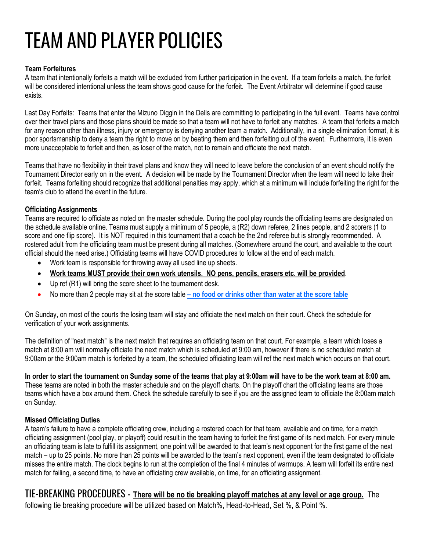## TEAM AND PLAYER POLICIES

#### **Team Forfeitures**

A team that intentionally forfeits a match will be excluded from further participation in the event. If a team forfeits a match, the forfeit will be considered intentional unless the team shows good cause for the forfeit. The Event Arbitrator will determine if good cause exists.

Last Day Forfeits: Teams that enter the Mizuno Diggin in the Dells are committing to participating in the full event. Teams have control over their travel plans and those plans should be made so that a team will not have to forfeit any matches. A team that forfeits a match for any reason other than illness, injury or emergency is denying another team a match. Additionally, in a single elimination format, it is poor sportsmanship to deny a team the right to move on by beating them and then forfeiting out of the event. Furthermore, it is even more unacceptable to forfeit and then, as loser of the match, not to remain and officiate the next match.

Teams that have no flexibility in their travel plans and know they will need to leave before the conclusion of an event should notify the Tournament Director early on in the event. A decision will be made by the Tournament Director when the team will need to take their forfeit. Teams forfeiting should recognize that additional penalties may apply, which at a minimum will include forfeiting the right for the team's club to attend the event in the future.

#### **Officiating Assignments**

Teams are required to officiate as noted on the master schedule. During the pool play rounds the officiating teams are designated on the schedule available online. Teams must supply a minimum of 5 people, a (R2) down referee, 2 lines people, and 2 scorers (1 to score and one flip score). It is NOT required in this tournament that a coach be the 2nd referee but is strongly recommended. A rostered adult from the officiating team must be present during all matches. (Somewhere around the court, and available to the court official should the need arise.) Officiating teams will have COVID procedures to follow at the end of each match.

- Work team is responsible for throwing away all used line up sheets.
- **Work teams MUST provide their own work utensils. NO pens, pencils, erasers etc. will be provided**.
- Up ref (R1) will bring the score sheet to the tournament desk.
- No more than 2 people may sit at the score table **– no food or drinks other than water at the score table**

On Sunday, on most of the courts the losing team will stay and officiate the next match on their court. Check the schedule for verification of your work assignments.

The definition of "next match" is the next match that requires an officiating team on that court. For example, a team which loses a match at 8:00 am will normally officiate the next match which is scheduled at 9:00 am, however if there is no scheduled match at 9:00am or the 9:00am match is forfeited by a team, the scheduled officiating team will ref the next match which occurs on that court.

### **In order to start the tournament on Sunday some of the teams that play at 9:00am will have to be the work team at 8:00 am.**

These teams are noted in both the master schedule and on the playoff charts. On the playoff chart the officiating teams are those teams which have a box around them. Check the schedule carefully to see if you are the assigned team to officiate the 8:00am match on Sunday.

#### **Missed Officiating Duties**

A team's failure to have a complete officiating crew, including a rostered coach for that team, available and on time, for a match officiating assignment (pool play, or playoff) could result in the team having to forfeit the first game of its next match. For every minute an officiating team is late to fulfill its assignment, one point will be awarded to that team's next opponent for the first game of the next match – up to 25 points. No more than 25 points will be awarded to the team's next opponent, even if the team designated to officiate misses the entire match. The clock begins to run at the completion of the final 4 minutes of warmups. A team will forfeit its entire next match for failing, a second time, to have an officiating crew available, on time, for an officiating assignment.

## TIE-BREAKING PROCEDURES - **There will be no tie breaking playoff matches at any level or age group.** The

following tie breaking procedure will be utilized based on Match%, Head-to-Head, Set %, & Point %.